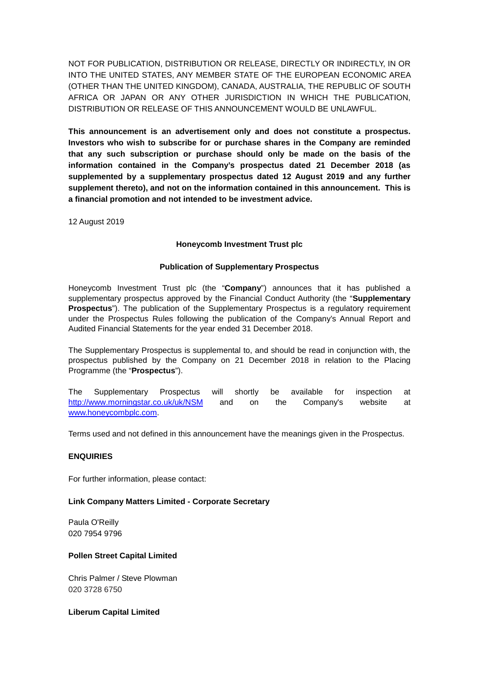NOT FOR PUBLICATION, DISTRIBUTION OR RELEASE, DIRECTLY OR INDIRECTLY, IN OR INTO THE UNITED STATES, ANY MEMBER STATE OF THE EUROPEAN ECONOMIC AREA (OTHER THAN THE UNITED KINGDOM), CANADA, AUSTRALIA, THE REPUBLIC OF SOUTH AFRICA OR JAPAN OR ANY OTHER JURISDICTION IN WHICH THE PUBLICATION, DISTRIBUTION OR RELEASE OF THIS ANNOUNCEMENT WOULD BE UNLAWFUL.

**This announcement is an advertisement only and does not constitute a prospectus. Investors who wish to subscribe for or purchase shares in the Company are reminded that any such subscription or purchase should only be made on the basis of the information contained in the Company's prospectus dated 21 December 2018 (as supplemented by a supplementary prospectus dated 12 August 2019 and any further supplement thereto), and not on the information contained in this announcement. This is a financial promotion and not intended to be investment advice.** 

12 August 2019

# **Honeycomb Investment Trust plc**

#### **Publication of Supplementary Prospectus**

Honeycomb Investment Trust plc (the "**Company**") announces that it has published a supplementary prospectus approved by the Financial Conduct Authority (the "**Supplementary Prospectus**"). The publication of the Supplementary Prospectus is a regulatory requirement under the Prospectus Rules following the publication of the Company's Annual Report and Audited Financial Statements for the year ended 31 December 2018.

The Supplementary Prospectus is supplemental to, and should be read in conjunction with, the prospectus published by the Company on 21 December 2018 in relation to the Placing Programme (the "**Prospectus**").

The Supplementary Prospectus will shortly be available for inspection at <http://www.morningstar.co.uk/uk/NSM>and on the Company's website at [www.honeycombplc.com.](http://www.honeycombplc.com/)

Terms used and not defined in this announcement have the meanings given in the Prospectus.

#### **ENQUIRIES**

For further information, please contact:

# **Link Company Matters Limited - Corporate Secretary**

Paula O'Reilly 020 7954 9796

# **Pollen Street Capital Limited**

Chris Palmer / Steve Plowman 020 3728 6750

**Liberum Capital Limited**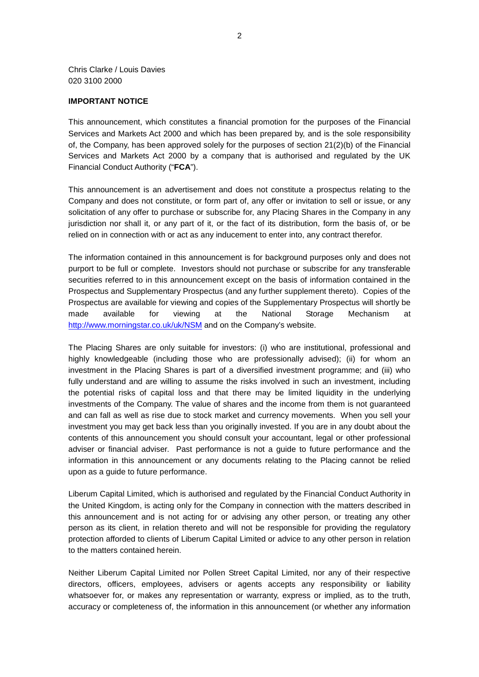Chris Clarke / Louis Davies 020 3100 2000

#### **IMPORTANT NOTICE**

This announcement, which constitutes a financial promotion for the purposes of the Financial Services and Markets Act 2000 and which has been prepared by, and is the sole responsibility of, the Company, has been approved solely for the purposes of section 21(2)(b) of the Financial Services and Markets Act 2000 by a company that is authorised and regulated by the UK Financial Conduct Authority ("**FCA**").

This announcement is an advertisement and does not constitute a prospectus relating to the Company and does not constitute, or form part of, any offer or invitation to sell or issue, or any solicitation of any offer to purchase or subscribe for, any Placing Shares in the Company in any jurisdiction nor shall it, or any part of it, or the fact of its distribution, form the basis of, or be relied on in connection with or act as any inducement to enter into, any contract therefor.

The information contained in this announcement is for background purposes only and does not purport to be full or complete. Investors should not purchase or subscribe for any transferable securities referred to in this announcement except on the basis of information contained in the Prospectus and Supplementary Prospectus (and any further supplement thereto). Copies of the Prospectus are available for viewing and copies of the Supplementary Prospectus will shortly be made available for viewing at the National Storage Mechanism at <http://www.morningstar.co.uk/uk/NSM>and on the Company's website.

The Placing Shares are only suitable for investors: (i) who are institutional, professional and highly knowledgeable (including those who are professionally advised); (ii) for whom an investment in the Placing Shares is part of a diversified investment programme; and (iii) who fully understand and are willing to assume the risks involved in such an investment, including the potential risks of capital loss and that there may be limited liquidity in the underlying investments of the Company. The value of shares and the income from them is not guaranteed and can fall as well as rise due to stock market and currency movements. When you sell your investment you may get back less than you originally invested. If you are in any doubt about the contents of this announcement you should consult your accountant, legal or other professional adviser or financial adviser. Past performance is not a guide to future performance and the information in this announcement or any documents relating to the Placing cannot be relied upon as a guide to future performance.

Liberum Capital Limited, which is authorised and regulated by the Financial Conduct Authority in the United Kingdom, is acting only for the Company in connection with the matters described in this announcement and is not acting for or advising any other person, or treating any other person as its client, in relation thereto and will not be responsible for providing the regulatory protection afforded to clients of Liberum Capital Limited or advice to any other person in relation to the matters contained herein.

Neither Liberum Capital Limited nor Pollen Street Capital Limited, nor any of their respective directors, officers, employees, advisers or agents accepts any responsibility or liability whatsoever for, or makes any representation or warranty, express or implied, as to the truth, accuracy or completeness of, the information in this announcement (or whether any information